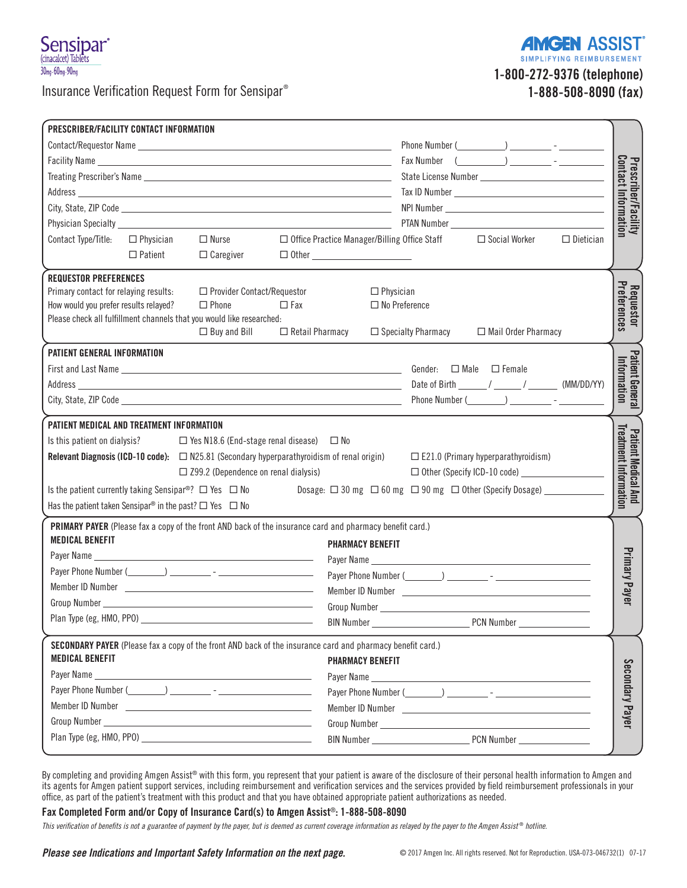

Insurance Verification Request Form for Sensipar®

**SIMPLIFYING REIMBURSEMENT** 1-800-272-9376 (telephone)

1-888-508-8090 (fax)

**AMGEN ASSIST** 

| PRESCRIBER/FACILITY CONTACT INFORMATION<br>$\Box$ Nurse<br>Contact Type/Title:<br>$\Box$ Physician<br>$\Box$ Patient<br>$\Box$ Caregiver                                                                                                                                                                                                                                                                                                                 | $Fax$ Number $($<br>□ Social Worker<br>□ Office Practice Manager/Billing Office Staff<br>$\Box$ Dietician                                 | Prescriber/Facility<br>Contact Information                 |
|----------------------------------------------------------------------------------------------------------------------------------------------------------------------------------------------------------------------------------------------------------------------------------------------------------------------------------------------------------------------------------------------------------------------------------------------------------|-------------------------------------------------------------------------------------------------------------------------------------------|------------------------------------------------------------|
| <b>REQUESTOR PREFERENCES</b><br>Primary contact for relaying results:<br>□ Provider Contact/Requestor<br>How would you prefer results relayed?<br>$\Box$ Phone<br>$\Box$ Fax<br>Please check all fulfillment channels that you would like researched:<br>$\Box$ Buy and Bill<br>$\Box$ Retail Pharmacy                                                                                                                                                   | $\Box$ Physician<br>$\Box$ No Preference<br>$\Box$ Specialty Pharmacy<br>□ Mail Order Pharmacy                                            | Preferences<br><b>Requestor</b>                            |
| PATIENT GENERAL INFORMATION<br>First and Last Name <b>All and Last Name All and All and All and All and All and All and All and All and All and All and All and All and All and All and All and All and All and All and All and All and All and All and All a</b>                                                                                                                                                                                        | Gender: $\Box$ Male $\Box$ Female                                                                                                         | Patient Genera<br>Information                              |
| PATIENT MEDICAL AND TREATMENT INFORMATION<br>Is this patient on dialysis? $\Box$ Yes N18.6 (End-stage renal disease) $\Box$ No<br><b>Relevant Diagnosis (ICD-10 code):</b> $\Box$ N25.81 (Secondary hyperparathyroidism of renal origin)<br>$\Box$ Z99.2 (Dependence on renal dialysis)<br>Is the patient currently taking Sensipar <sup>®</sup> ? $\Box$ Yes $\Box$ No<br>Has the patient taken Sensipar <sup>®</sup> in the past? $\Box$ Yes $\Box$ No | $\square$ E21.0 (Primary hyperparathyroidism)<br>Dosage: □ 30 mg □ 60 mg □ 90 mg □ 0ther (Specify Dosage) __________                      | <b>Treatment Information</b><br><b>Patient Medical And</b> |
| PRIMARY PAYER (Please fax a copy of the front AND back of the insurance card and pharmacy benefit card.)<br><b>MEDICAL BENEFIT</b><br>Plan Type (eg, HMO, PPO)                                                                                                                                                                                                                                                                                           | <b>PHARMACY BENEFIT</b>                                                                                                                   | Primary Payer                                              |
| SECONDARY PAYER (Please fax a copy of the front AND back of the insurance card and pharmacy benefit card.)<br><b>MEDICAL BENEFIT</b>                                                                                                                                                                                                                                                                                                                     | <b>PHARMACY BENEFIT</b><br>Payer Phone Number (Changel 2014) 2014 - 2022 - 2022 - 2022 - 2022 - 2022 - 2022 - 2022 - 2022 - 2022 - 2022 - | Secondary Payer                                            |

By completing and providing Amgen Assist® with this form, you represent that your patient is aware of the disclosure of their personal health information to Amgen and its agents for Amgen patient support services, including reimbursement and verification services and the services provided by field reimbursement professionals in your office, as part of the patient's treatment with this product and that you have obtained appropriate patient authorizations as needed.

Fax Completed Form and/or Copy of Insurance Card(s) to Amgen Assist®: 1-888-508-8090

*This verification of benefits is not a guarantee of payment by the payer, but is deemed as current coverage information as relayed by the payer to the Amgen Assist* ® *hotline.*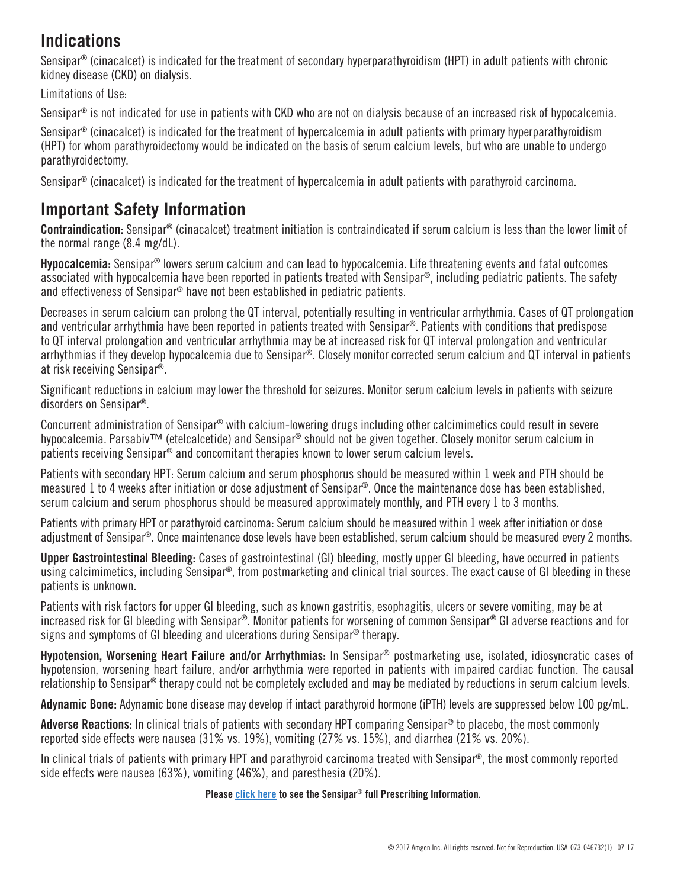# **Indications**

Sensipar® (cinacalcet) is indicated for the treatment of secondary hyperparathyroidism (HPT) in adult patients with chronic kidney disease (CKD) on dialysis.

Limitations of Use:

Sensipar<sup>®</sup> is not indicated for use in patients with CKD who are not on dialysis because of an increased risk of hypocalcemia.

Sensipar<sup>®</sup> (cinacalcet) is indicated for the treatment of hypercalcemia in adult patients with primary hyperparathyroidism (HPT) for whom parathyroidectomy would be indicated on the basis of serum calcium levels, but who are unable to undergo parathyroidectomy.

Sensipar® (cinacalcet) is indicated for the treatment of hypercalcemia in adult patients with parathyroid carcinoma.

# **Important Safety Information**

Contraindication: Sensipar® (cinacalcet) treatment initiation is contraindicated if serum calcium is less than the lower limit of the normal range (8.4 mg/dL).

Hypocalcemia: Sensipar<sup>®</sup> lowers serum calcium and can lead to hypocalcemia. Life threatening events and fatal outcomes associated with hypocalcemia have been reported in patients treated with Sensipar®, including pediatric patients. The safety and effectiveness of Sensipar® have not been established in pediatric patients.

Decreases in serum calcium can prolong the QT interval, potentially resulting in ventricular arrhythmia. Cases of QT prolongation and ventricular arrhythmia have been reported in patients treated with Sensipar®. Patients with conditions that predispose to QT interval prolongation and ventricular arrhythmia may be at increased risk for QT interval prolongation and ventricular arrhythmias if they develop hypocalcemia due to Sensipar®. Closely monitor corrected serum calcium and QT interval in patients at risk receiving Sensipar®.

Significant reductions in calcium may lower the threshold for seizures. Monitor serum calcium levels in patients with seizure disorders on Sensipar®.

Concurrent administration of Sensipar® with calcium-lowering drugs including other calcimimetics could result in severe hypocalcemia. Parsabiv™ (etelcalcetide) and Sensipar® should not be given together. Closely monitor serum calcium in patients receiving Sensipar® and concomitant therapies known to lower serum calcium levels.

Patients with secondary HPT: Serum calcium and serum phosphorus should be measured within 1 week and PTH should be measured 1 to 4 weeks after initiation or dose adjustment of Sensipar®. Once the maintenance dose has been established, serum calcium and serum phosphorus should be measured approximately monthly, and PTH every 1 to 3 months.

Patients with primary HPT or parathyroid carcinoma: Serum calcium should be measured within 1 week after initiation or dose adjustment of Sensipar®. Once maintenance dose levels have been established, serum calcium should be measured every 2 months.

Upper Gastrointestinal Bleeding: Cases of gastrointestinal (GI) bleeding, mostly upper GI bleeding, have occurred in patients using calcimimetics, including Sensipar®, from postmarketing and clinical trial sources. The exact cause of GI bleeding in these patients is unknown.

Patients with risk factors for upper GI bleeding, such as known gastritis, esophagitis, ulcers or severe vomiting, may be at increased risk for GI bleeding with Sensipar®. Monitor patients for worsening of common Sensipar® GI adverse reactions and for signs and symptoms of GI bleeding and ulcerations during Sensipar® therapy.

Hypotension. Worsening Heart Failure and/or Arrhythmias: In Sensipar® postmarketing use, isolated, idiosyncratic cases of hypotension, worsening heart failure, and/or arrhythmia were reported in patients with impaired cardiac function. The causal relationship to Sensipar® therapy could not be completely excluded and may be mediated by reductions in serum calcium levels.

Adynamic Bone: Adynamic bone disease may develop if intact parathyroid hormone (iPTH) levels are suppressed below 100 pg/mL.

Adverse Reactions: In clinical trials of patients with secondary HPT comparing Sensipar<sup>®</sup> to placebo, the most commonly reported side effects were nausea (31% vs. 19%), vomiting (27% vs. 15%), and diarrhea (21% vs. 20%).

In clinical trials of patients with primary HPT and parathyroid carcinoma treated with Sensipar®, the most commonly reported side effects were nausea (63%), vomiting (46%), and paresthesia (20%).

## Please <u>click here</u> to see the Sensipar® full Prescribing Information.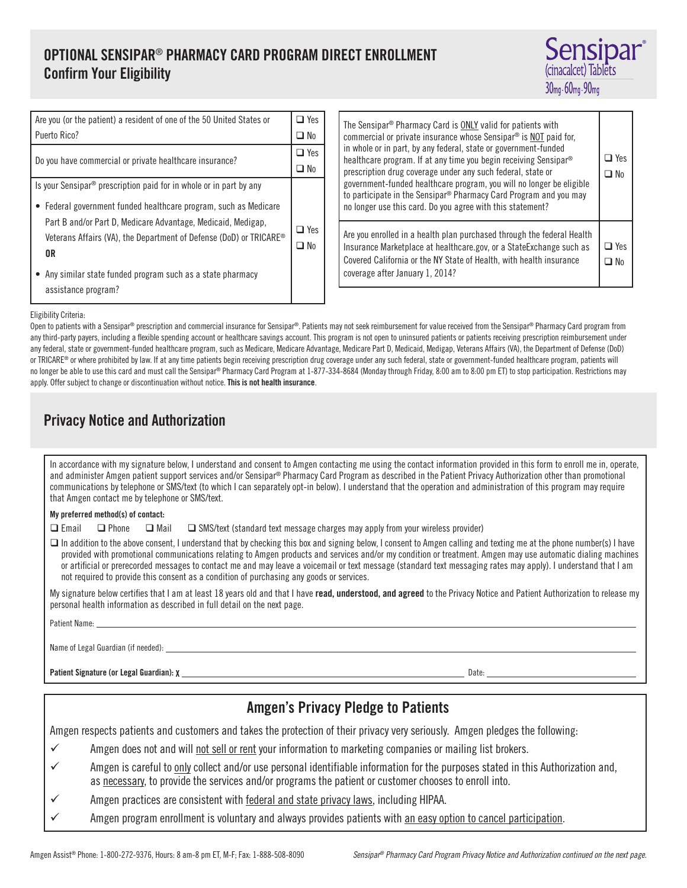## OPTIONAL SENSIPAR® PHARMACY CARD PROGRAM DIRECT ENROLLMENT Confirm Your Eligibility



| $\Box$ Yes |
|------------|
| ו ∎D No    |
| $\Box$ Yes |
| No         |
|            |
|            |
| 7 Yes      |
|            |
|            |
|            |
|            |
|            |

| The Sensipar <sup>®</sup> Pharmacy Card is <b>ONLY</b> valid for patients with<br>commercial or private insurance whose Sensipar <sup>®</sup> is NOT paid for,<br>in whole or in part, by any federal, state or government-funded<br>healthcare program. If at any time you begin receiving Sensipar <sup>®</sup><br>prescription drug coverage under any such federal, state or<br>government-funded healthcare program, you will no longer be eligible<br>to participate in the Sensipar <sup>®</sup> Pharmacy Card Program and you may<br>no longer use this card. Do you agree with this statement? | Yes<br>¶ N∩ |
|---------------------------------------------------------------------------------------------------------------------------------------------------------------------------------------------------------------------------------------------------------------------------------------------------------------------------------------------------------------------------------------------------------------------------------------------------------------------------------------------------------------------------------------------------------------------------------------------------------|-------------|
| Are you enrolled in a health plan purchased through the federal Health<br>Insurance Marketplace at healthcare.gov, or a StateExchange such as<br>Covered California or the NY State of Health, with health insurance<br>coverage after January 1, 2014?                                                                                                                                                                                                                                                                                                                                                 | $\Box$ Yes  |

#### Eligibility Criteria:

Open to patients with a Sensipar® prescription and commercial insurance for Sensipar®. Patients may not seek reimbursement for value received from the Sensipar® Pharmacy Card program from any third-party payers, including a flexible spending account or healthcare savings account. This program is not open to uninsured patients or patients receiving prescription reimbursement under any federal, state or government-funded healthcare program, such as Medicare, Medicare Advantage, Medicare Part D, Medicaid, Medigap, Veterans Affairs (VA), the Department of Defense (DoD) or TRICARE® or where prohibited by law. If at any time patients begin receiving prescription drug coverage under any such federal, state or government-funded healthcare program, patients will no longer be able to use this card and must call the Sensipar® Pharmacy Card Program at 1-877-334-8684 (Monday through Friday, 8:00 am to 8:00 pm ET) to stop participation. Restrictions may apply. Offer subject to change or discontinuation without notice. This is not health insurance.

## Privacy Notice and Authorization

In accordance with my signature below, I understand and consent to Amgen contacting me using the contact information provided in this form to enroll me in, operate, and administer Amgen patient support services and/or Sensipar® Pharmacy Card Program as described in the Patient Privacy Authorization other than promotional communications by telephone or SMS/text (to which I can separately opt-in below). I understand that the operation and administration of this program may require that Amgen contact me by telephone or SMS/text.

#### My preferred method(s) of contact:

 $\Box$  Email  $\Box$  Phone  $\Box$  Mail  $\Box$  SMS/text (standard text message charges may apply from your wireless provider)

□ In addition to the above consent, I understand that by checking this box and signing below, I consent to Amgen calling and texting me at the phone number(s) I have provided with promotional communications relating to Amgen products and services and/or my condition or treatment. Amgen may use automatic dialing machines or artificial or prerecorded messages to contact me and may leave a voicemail or text message (standard text messaging rates may apply). I understand that I am not required to provide this consent as a condition of purchasing any goods or services.

My signature below certifies that I am at least 18 years old and that I have read, understood, and agreed to the Privacy Notice and Patient Authorization to release my personal health information as described in full detail on the next page.

#### Patient Name:

Name of Legal Guardian (if needed):

Patient Signature (or Legal Guardian): X Date: Date: Date: Date: Date: Date: Date: Date: Date: Date: Date: Date: Date: Date: Date: Date: Date: Date: Date: Date: Date: Date: Date: Date: Date: Date: Date: Date: Date: Date: D

## Amgen's Privacy Pledge to Patients Amgen respects patients and customers and takes the protection of their privacy very seriously. Amgen pledges the following: Amgen does not and will not sell or rent your information to marketing companies or mailing list brokers. Amgen is careful to only collect and/or use personal identifiable information for the purposes stated in this Authorization and, as necessary, to provide the services and/or programs the patient or customer chooses to enroll into. Amgen practices are consistent with federal and state privacy laws, including HIPAA. Amgen program enrollment is voluntary and always provides patients with an easy option to cancel participation.